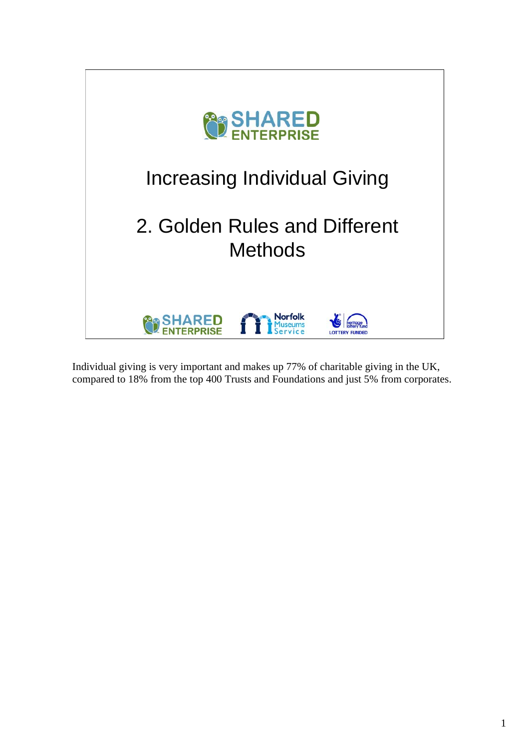

Individual giving is very important and makes up 77% of charitable giving in the UK, compared to 18% from the top 400 Trusts and Foundations and just 5% from corporates.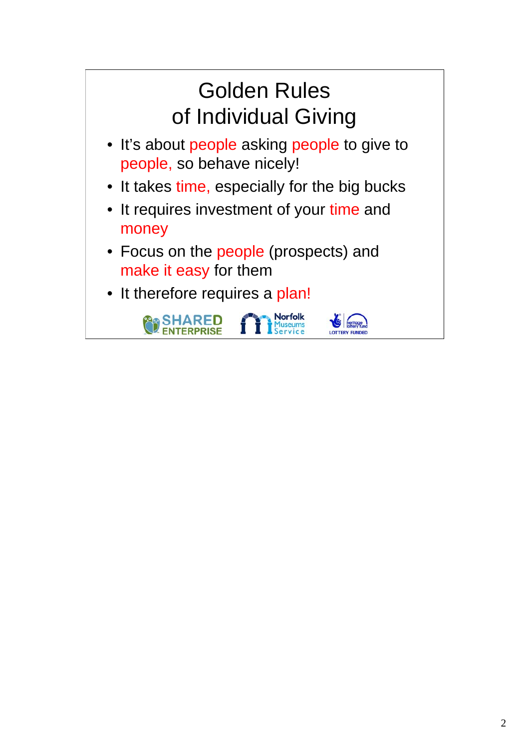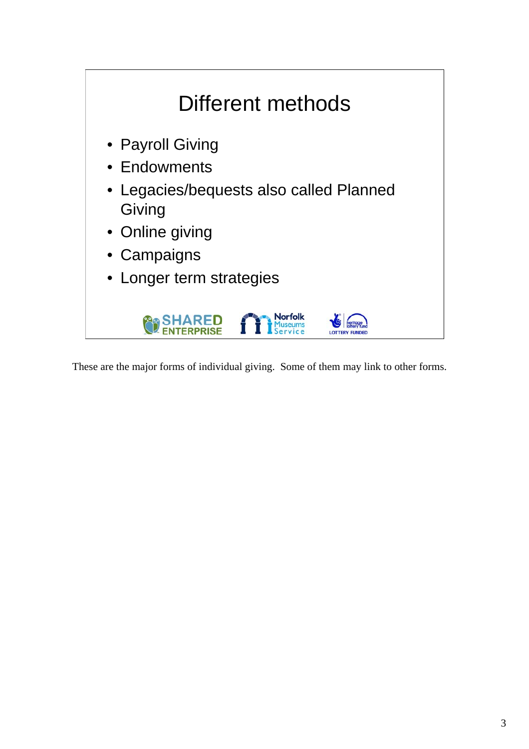

These are the major forms of individual giving. Some of them may link to other forms.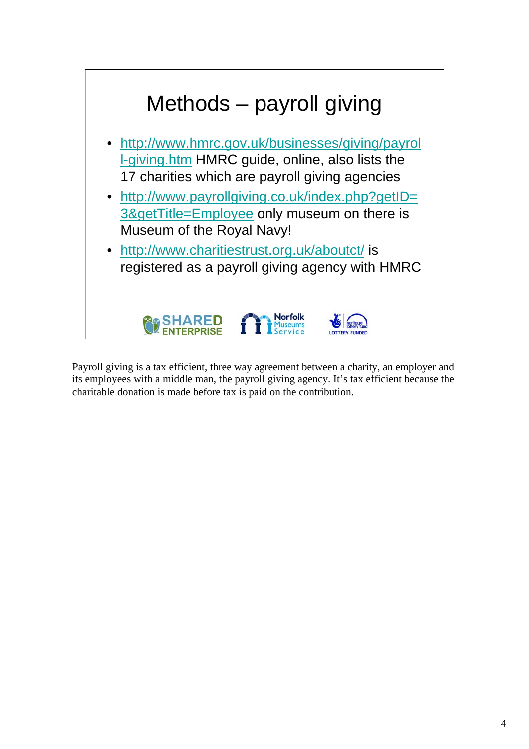

Payroll giving is a tax efficient, three way agreement between a charity, an employer and its employees with a middle man, the payroll giving agency. It's tax efficient because the charitable donation is made before tax is paid on the contribution.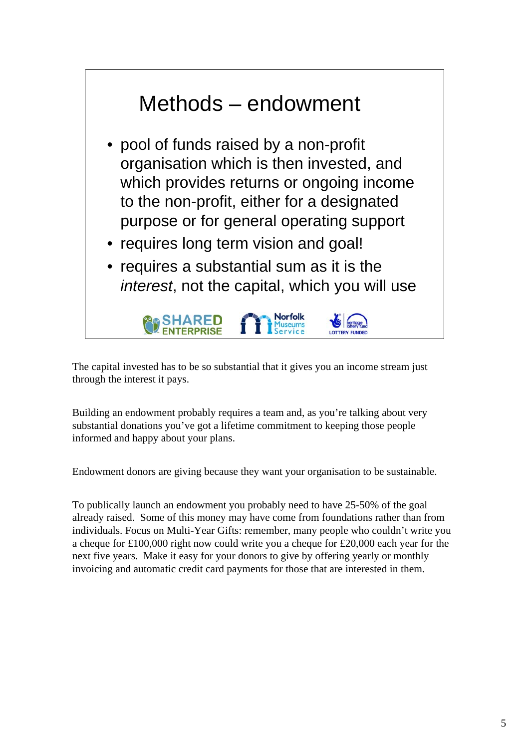

The capital invested has to be so substantial that it gives you an income stream just through the interest it pays.

Building an endowment probably requires a team and, as you're talking about very substantial donations you've got a lifetime commitment to keeping those people informed and happy about your plans.

Endowment donors are giving because they want your organisation to be sustainable.

To publically launch an endowment you probably need to have 25-50% of the goal already raised. Some of this money may have come from foundations rather than from individuals. Focus on Multi-Year Gifts: remember, many people who couldn't write you a cheque for £100,000 right now could write you a cheque for £20,000 each year for the next five years. Make it easy for your donors to give by offering yearly or monthly invoicing and automatic credit card payments for those that are interested in them.